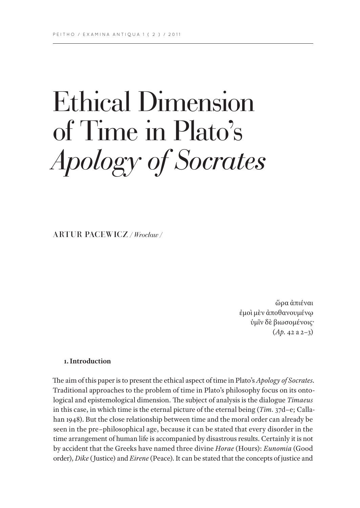# Ethical Dimension of Time in Plato's *Apology of Socrates*

ARTUR PACEWICZ */ Wrocław /*

ὥρα ἀπιέναι ἐμοὶ μὲν ἀποθανουμένῳ ὑμῖν δὲ βιωσομένοις· (*Ap.* 42 a 2–3)

### **1. Introduction**

The aim of this paper is to present the ethical aspect of time in Plato's *Apology of Socrates*. Traditional approaches to the problem of time in Plato's philosophy focus on its ontological and epistemological dimension. The subject of analysis is the dialogue *Timaeus* in this case, in which time is the eternal picture of the eternal being (*Tim.* 37d–e; Callahan 1948). But the close relationship between time and the moral order can already be seen in the pre–philosophical age, because it can be stated that every disorder in the time arrangement of human life is accompanied by disastrous results. Certainly it is not by accident that the Greeks have named three divine *Horae* (Hours): *Eunomia* (Good order), *Dike* (Justice) and *Eirene* (Peace). It can be stated that the concepts of justice and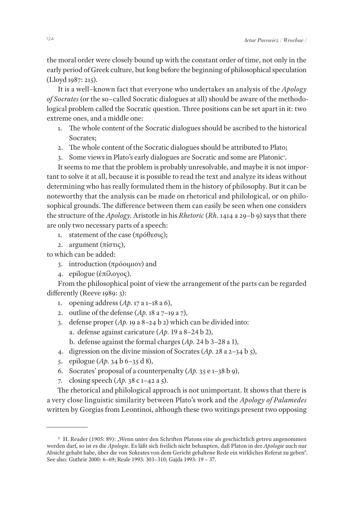the moral order were closely bound up with the constant order of time, not only in the early period of Greek culture, but long before the beginning of philosophical speculation (Lloyd 1987: 215).

It is a well–known fact that everyone who undertakes an analysis of the *Apology of Socrates* (or the so–called Socratic dialogues at all) should be aware of the methodological problem called the Socratic question. Three positions can be set apart in it: two extreme ones, and a middle one:

- 1. The whole content of the Socratic dialogues should be ascribed to the historical Socrates;
- 2. The whole content of the Socratic dialogues should be attributed to Plato;
- 3. Some views in Plato's early dialogues are Socratic and some are Platonic<sup>1</sup>.

It seems to me that the problem is probably unresolvable, and maybe it is not important to solve it at all, because it is possible to read the text and analyze its ideas without determining who has really formulated them in the history of philosophy. But it can be noteworthy that the analysis can be made on rhetorical and philological, or on philosophical grounds. The difference between them can easily be seen when one considers the structure of the *Apology*. Aristotle in his *Rhetoric* (*Rh.* 1414 a 29–b 9) says that there are only two necessary parts of a speech:

- 1. statement of the case (πρόθεσις);
- 2. argument (πίστις),

to which can be added:

- 3. introduction (πρόοιμιον) and
- 4. epilogue (ἐπίλογος).

From the philosophical point of view the arrangement of the parts can be regarded differently (Reeve 1989: 3):

- 1. opening address (*Ap.* 17 a 1–18 a 6),
- 2. outline of the defense (*Ap.* 18 a 7–19 a 7),
- 3. defense proper (*Ap.* 19 a 8–24 b 2) which can be divided into: a. defense against caricature (*Ap.* 19 a 8–24 b 2),
	- b. defense against the formal charges (*Ap.* 24 b 3–28 a 1),
- 4. digression on the divine mission of Socrates (*Ap.* 28 a 2–34 b 5),
- 5. epilogue (*Ap.* 34 b 6–35 d 8),
- 6. Socrates' proposal of a counterpenalty (*Ap.* 35 e 1–38 b 9),
- 7. closing speech (*Ap.* 38 c 1–42 a 5).

The rhetorical and philological approach is not unimportant. It shows that there is a very close linguistic similarity between Plato's work and the *Apology of Palamedes*  written by Gorgias from Leontinoi, although these two writings present two opposing

<sup>&</sup>lt;sup>1</sup> H. Reader (1905: 89): "Wenn unter den Schriften Platons eine als geschichtlich getreu angenommen werden darf, so ist es die *Apologie*. Es läßt sich freilich nicht behaupten, daß Platon in der *Apologie* auch nur Absicht gehabt habe, über die von Sokrates von dem Gericht gehaltene Rede ein wirkliches Referat zu geben". See also: Guthrie 2000: 6–69; Reale 1993: 303–310; Gajda 1993: 19 – 37.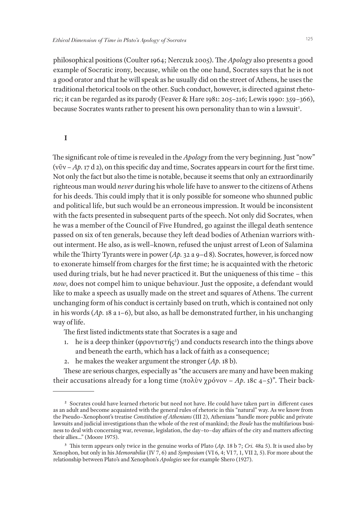philosophical positions (Coulter 1964; Nerczuk 2005). The *Apology* also presents a good example of Socratic irony, because, while on the one hand, Socrates says that he is not a good orator and that he will speak as he usually did on the street of Athens, he uses the traditional rhetorical tools on the other. Such conduct, however, is directed against rhetoric; it can be regarded as its parody (Feaver & Hare 1981: 205–216; Lewis 1990: 359–366), because Socrates wants rather to present his own personality than to win a lawsuit<sup>2</sup>.

#### **I**

The significant role of time is revealed in the *Apology* from the very beginning. Just "now" (νῦν – *Ap.* 17 d 2), on this specific day and time, Socrates appears in court for the first time. Not only the fact but also the time is notable, because it seems that only an extraordinarily righteous man would *never* during his whole life have to answer to the citizens of Athens for his deeds. This could imply that it is only possible for someone who shunned public and political life, but such would be an erroneous impression. It would be inconsistent with the facts presented in subsequent parts of the speech. Not only did Socrates, when he was a member of the Council of Five Hundred, go against the illegal death sentence passed on six of ten generals, because they left dead bodies of Athenian warriors without interment. He also, as is well–known, refused the unjust arrest of Leon of Salamina while the Thirty Tyrants were in power (*Ap.* 32 a 9–d 8). Socrates, however, is forced now to exonerate himself from charges for the first time; he is acquainted with the rhetoric used during trials, but he had never practiced it. But the uniqueness of this time – this *now*, does not compel him to unique behaviour. Just the opposite, a defendant would like to make a speech as usually made on the street and squares of Athens. The current unchanging form of his conduct is certainly based on truth, which is contained not only in his words (*Ap.* 18 a 1–6), but also, as hall be demonstrated further, in his unchanging way of life.

The first listed indictments state that Socrates is a sage and

- 1. he is a deep thinker (φροντιστής<sup>3</sup>) and conducts research into the things above and beneath the earth, which has a lack of faith as a consequence;
- 2. he makes the weaker argument the stronger (*Ap.* 18 b).

These are serious charges, especially as "the accusers are many and have been making their accusations already for a long time (πολὺν χρόνον – *Ap.* 18c 4–5)". Their back-

**<sup>2</sup>** Socrates could have learned rhetoric but need not have. He could have taken part in different cases as an adult and become acquainted with the general rules of rhetoric in this "natural" way. As we know from the Pseudo–Xenophont's treatise *Constitution of Athenians* (III 2), Athenians "handle more public and private lawsuits and judicial investigations than the whole of the rest of mankind; the *Boule* has the multifarious business to deal with concerning war, revenue, legislation, the day–to–day affairs of the city and matters affecting their allies…" (Moore 1975).

**<sup>3</sup>** This term appears only twice in the genuine works of Plato (*Ap.* 18 b 7; *Cri.* 48a 5). It is used also by Xenophon, but only in his *Memorabilia* (IV 7, 6) and *Symposium* (VI 6, 4; VI 7, 1, VII 2, 5). For more about the relationship between Plato's and Xenophon's *Apologies* see for example Shero (1927).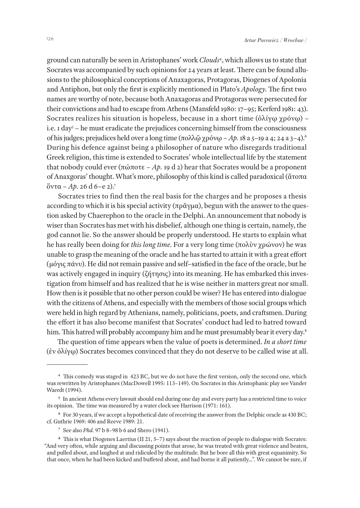ground can naturally be seen in Aristophanes' work *Clouds*<sup>4</sup> , which allows us to state that Socrates was accompanied by such opinions for 24 years at least. There can be found allusions to the philosophical conceptions of Anaxagoras, Protagoras, Diogenes of Apolonia and Antiphon, but only the first is explicitly mentioned in Plato's *Apology*. The first two names are worthy of note, because both Anaxagoras and Protagoras were persecuted for their convictions and had to escape from Athens (Mansfeld 1980: 17–95; Kerferd 1981: 43). Socrates realizes his situation is hopeless, because in a short time  $(\delta \lambda i \nu \omega \gamma \rho \delta \nu \omega)$  – i.e. 1 day<sup>5</sup> – he must eradicate the prejudices concerning himself from the consciousness of his judges; prejudices held over a long time (πολλῷ χρόνῳ – *Ap.* 18 a 5–19 a 4; 24 a 3–4).6 During his defence against being a philosopher of nature who disregards traditional Greek religion, this time is extended to Socrates' whole intellectual life by the statement that nobody could ever (πώποτε – *Ap.* 19 d 2) hear that Socrates would be a proponent of Anaxgoras' thought. What's more, philosophy of this kind is called paradoxical (ἄτοπα ὄντα – *Ap.* 26 d 6–e 2).7

Socrates tries to find then the real basis for the charges and he proposes a thesis according to which it is his special activity (πρᾶγμα), begun with the answer to the question asked by Chaerephon to the oracle in the Delphi. An announcement that nobody is wiser than Socrates has met with his disbelief, although one thing is certain, namely, the god cannot lie. So the answer should be properly understood. He starts to explain what he has really been doing for *this long time*. For a very long time (πολὺν χρώνον) he was unable to grasp the meaning of the oracle and he has started to attain it with a great effort (μόγις πάνυ). He did not remain passive and self–satisfied in the face of the oracle, but he was actively engaged in inquiry (ζήτησις) into its meaning. He has embarked this investigation from himself and has realized that he is wise neither in matters great nor small. How then is it possible that no other person could be wiser? He has entered into dialogue with the citizens of Athens, and especially with the members of those social groups which were held in high regard by Athenians, namely, politicians, poets, and craftsmen. During the effort it has also become manifest that Socrates' conduct had led to hatred toward him. This hatred will probably accompany him and he must presumably bear it every day.<sup>8</sup>

The question of time appears when the value of poets is determined. *In a short time*  (ἐν ὀλίγῳ) Socrates becomes convinced that they do not deserve to be called wise at all.

**<sup>4</sup>** This comedy was staged in 423 BC, but we do not have the first version, only the second one, which was rewritten by Aristophanes (MacDowell 1995: 113–149). On Socrates in this Aristophanic play see Vander Waerdt (1994).

**<sup>5</sup>** In ancient Athens every lawsuit should end during one day and every party has a restricted time to voice its opinion. The time was measured by a water clock see Harrison (1971: 161).

**<sup>6</sup>** For 30 years, if we accept a hypothetical date of receiving the answer from the Delphic oracle as 430 BC; cf. Guthrie 1969: 406 and Reeve 1989: 21.

**<sup>7</sup>** See also *Phd.* 97 b 8–98 b 6 and Shero (1941).

**<sup>8</sup>** This is what Diogenes Laertius (II 21, 5–7) says about the reaction of people to dialogue with Socrates: "And very often, while arguing and discussing points that arose, he was treated with great violence and beaten, and pulled about, and laughed at and ridiculed by the multitude. But he bore all this with great equanimity. So that once, when he had been kicked and buffeted about, and had borne it all patiently…". We cannot be sure, if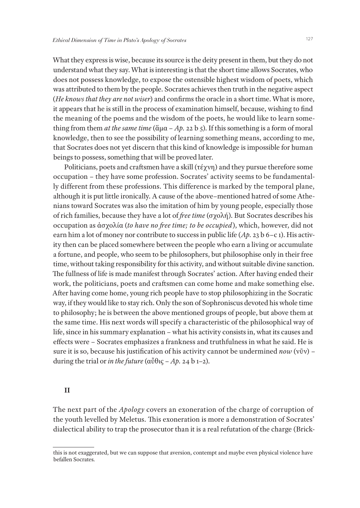What they express is wise, because its source is the deity present in them, but they do not understand what they say. What is interesting is that the short time allows Socrates, who does not possess knowledge, to expose the ostensible highest wisdom of poets, which was attributed to them by the people. Socrates achieves then truth in the negative aspect (*He knows that they are not wiser*) and confirms the oracle in a short time. What is more, it appears that he is still in the process of examination himself, because, wishing to find the meaning of the poems and the wisdom of the poets, he would like to learn something from them *at the same time* (άμα – *Ap.* 22 b *5*). If this something is a form of moral knowledge, then to see the possibility of learning something means, according to me, that Socrates does not yet discern that this kind of knowledge is impossible for human beings to possess, something that will be proved later.

Politicians, poets and craftsmen have a skill (τέχνη) and they pursue therefore some occupation – they have some profession. Socrates' activity seems to be fundamentally different from these professions. This difference is marked by the temporal plane, although it is put little ironically. A cause of the above–mentioned hatred of some Athenians toward Socrates was also the imitation of him by young people, especially those of rich families, because they have a lot of *free time* (σχολή). But Socrates describes his occupation as ἀσχολία (*to have no free time; to be occupied*), which, however, did not earn him a lot of money nor contribute to success in public life (*Ap.* 23 b 6–c 1). His activity then can be placed somewhere between the people who earn a living or accumulate a fortune, and people, who seem to be philosophers, but philosophise only in their free time, without taking responsibility for this activity, and without suitable divine sanction. The fullness of life is made manifest through Socrates' action. After having ended their work, the politicians, poets and craftsmen can come home and make something else. After having come home, young rich people have to stop philosophizing in the Socratic way, if they would like to stay rich. Only the son of Sophroniscus devoted his whole time to philosophy; he is between the above mentioned groups of people, but above them at the same time. His next words will specify a characteristic of the philosophical way of life, since in his summary explanation – what his activity consists in, what its causes and effects were – Socrates emphasizes a frankness and truthfulness in what he said. He is sure it is so, because his justification of his activity cannot be undermined *now* (νῦν) – during the trial or *in the future* (αὖθις – *Ap.* 24 b 1–2).

#### **II**

The next part of the *Apology* covers an exoneration of the charge of corruption of the youth levelled by Meletus. This exoneration is more a demonstration of Socrates' dialectical ability to trap the prosecutor than it is a real refutation of the charge (Brick-

this is not exaggerated, but we can suppose that aversion, contempt and maybe even physical violence have befallen Socrates.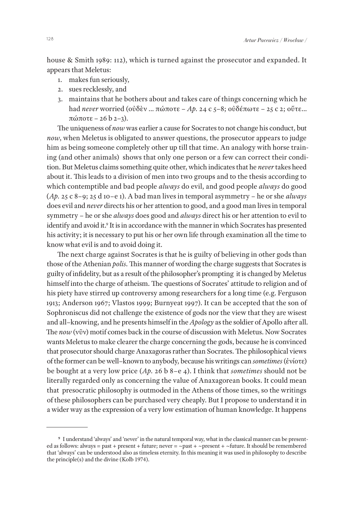house & Smith 1989: 112), which is turned against the prosecutor and expanded. It appears that Meletus:

- 1. makes fun seriously,
- 2. sues recklessly, and
- 3. maintains that he bothers about and takes care of things concerning which he had *never* worried (οὐδὲν … πώποτε – *Ap.* 24 c 5–8; οὐδέπωτε – 25 c 2; οὔτε… πώποτε – 26 b 2–3).

The uniqueness of *now* was earlier a cause for Socrates to not change his conduct, but *now*, when Meletus is obligated to answer questions, the prosecutor appears to judge him as being someone completely other up till that time. An analogy with horse training (and other animals) shows that only one person or a few can correct their condition. But Meletus claims something quite other, which indicates that he *never* takes heed about it. This leads to a division of men into two groups and to the thesis according to which contemptible and bad people *always* do evil, and good people *always* do good (*Ap.* 25 c 8–9; 25 d 10–e 1). A bad man lives in temporal asymmetry – he or she *always*  does evil and *never* directs his or her attention to good, and a good man lives in temporal symmetry – he or she *always* does good and *always* direct his or her attention to evil to identify and avoid it.<sup>9</sup> It is in accordance with the manner in which Socrates has presented his activity; it is necessary to put his or her own life through examination all the time to know what evil is and to avoid doing it.

The next charge against Socrates is that he is guilty of believing in other gods than those of the Athenian *polis*. This manner of wording the charge suggests that Socrates is guilty of infidelity, but as a result of the philosopher's prompting it is changed by Meletus himself into the charge of atheism. The questions of Socrates' attitude to religion and of his piety have stirred up controversy among researchers for a long time (e.g. Ferguson 1913; Anderson 1967; Vlastos 1999; Burnyeat 1997). It can be accepted that the son of Sophroniscus did not challenge the existence of gods nor the view that they are wisest and all–knowing, and he presents himself in the *Apology* as the soldier of Apollo after all. The *now* (νῦν) motif comes back in the course of discussion with Meletus. Now Socrates wants Meletus to make clearer the charge concerning the gods, because he is convinced that prosecutor should charge Anaxagoras rather than Socrates. The philosophical views of the former can be well–known to anybody, because his writings can *sometimes* (ἐνίοτε) be bought at a very low price (*Ap.* 26 b 8–e 4). I think that *sometimes* should not be literally regarded only as concerning the value of Anaxagorean books. It could mean that presocratic philosophy is outmoded in the Athens of those times, so the writings of these philosophers can be purchased very cheaply. But I propose to understand it in a wider way as the expression of a very low estimation of human knowledge. It happens

**<sup>9</sup>** I understand 'always' and 'never' in the natural temporal way, what in the classical manner can be presented as follows: always = past + present + future; never = ~past + ~present + ~future. It should be remembered that 'always' can be understood also as timeless eternity. In this meaning it was used in philosophy to describe the principle(s) and the divine (Kolb 1974).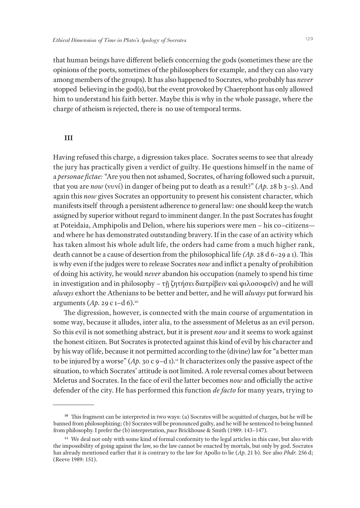that human beings have different beliefs concerning the gods (sometimes these are the opinions of the poets, sometimes of the philosophers for example, and they can also vary among members of the groups). It has also happened to Socrates, who probably has *never* stopped believing in the god(s), but the event provoked by Chaerephont has only allowed him to understand his faith better. Maybe this is why in the whole passage, where the charge of atheism is rejected, there is no use of temporal terms.

#### **III**

Having refused this charge, a digression takes place. Socrates seems to see that already the jury has practically given a verdict of guilty. He questions himself in the name of a *personae fictae:* "Are you then not ashamed, Socrates, of having followed such a pursuit, that you are *now* (νυνί) in danger of being put to death as a result?" (*Ap.* 28 b 3–5). And again this *now* gives Socrates an opportunity to present his consistent character, which manifests itself through a persistent adherence to general law: one should keep the watch assigned by superior without regard to imminent danger. In the past Socrates has fought at Poteidaia, Amphipolis and Delion, where his superiors were men – his co–citizens and where he has demonstrated outstanding bravery. If in the case of an activity which has taken almost his whole adult life, the orders had came from a much higher rank, death cannot be a cause of desertion from the philosophical life *(Ap.* 28 d 6–29 a 1). This is why even if the judges were to release Socrates *now* and inflict a penalty of prohibition of doing his activity, he would *never* abandon his occupation (namely to spend his time in investigation and in philosophy – τῇ ζητήσει διατρίβειν καὶ φιλοσοφεῖν) and he will *always* exhort the Athenians to be better and better, and he will *always* put forward his arguments (*Ap.* 29 c 1–d 6).10

The digression, however, is connected with the main course of argumentation in some way, because it alludes, inter alia, to the assessment of Meletus as an evil person. So this evil is not something abstract, but it is present *now* and it seems to work against the honest citizen. But Socrates is protected against this kind of evil by his character and by his way of life, because it not permitted according to the (divine) law for "a better man to be injured by a worse"  $(Ap. 30 \text{ c } 9-d1)$ .<sup>11</sup> It characterizes only the passive aspect of the situation, to which Socrates' attitude is not limited. A role reversal comes about between Meletus and Socrates. In the face of evil the latter becomes *now* and officially the active defender of the city. He has performed this function *de facto* for many years, trying to

<sup>&</sup>lt;sup>10</sup> This fragment can be interpreted in two ways: (a) Socrates will be acquitted of charges, but he will be banned from philosophizing; (b) Socrates will be pronounced guilty, and he will be sentenced to being banned from philosophy. I prefer the (b) interpretation, *pace* Brickhouse & Smith (1989: 143–147).

<sup>&</sup>lt;sup>11</sup> We deal not only with some kind of formal conformity to the legal articles in this case, but also with the impossibility of going against the law, so the law cannot be enacted by mortals, but only by god. Socrates has already mentioned earlier that it is contrary to the law for Apollo to lie (*Ap.* 21 b). See also *Phdr.* 256 d; (Reeve 1989: 151).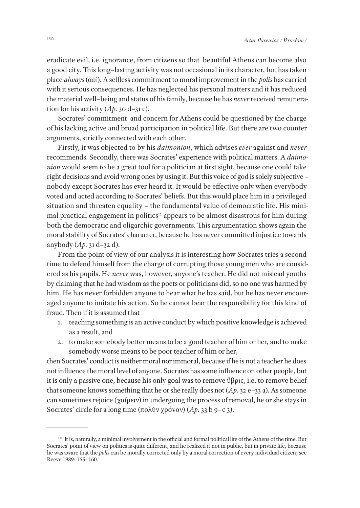eradicate evil, i.e. ignorance, from citizens so that beautiful Athens can become also a good city. This long–lasting activity was not occasional in its character, but has taken place *always* (ἀεί). A selfless commitment to moral improvement in the *polis* has carried with it serious consequences. He has neglected his personal matters and it has reduced the material well–being and status of his family, because he has *never* received remuneration for his activity (*Ap.* 30 d–31 c).

Socrates' commitment and concern for Athens could be questioned by the charge of his lacking active and broad participation in political life. But there are two counter arguments, strictly connected with each other.

Firstly, it was objected to by his *daimonion*, which advises *ever* against and *never*  recommends. Secondly, there was Socrates' experience with political matters. A *daimonion* would seem to be a great tool for a politician at first sight, because one could take right decisions and avoid wrong ones by using it. But this voice of god is solely subjective – nobody except Socrates has ever heard it. It would be effective only when everybody voted and acted according to Socrates' beliefs. But this would place him in a privileged situation and threaten equality – the fundamental value of democratic life. His minimal practical engagement in politics<sup>12</sup> appears to be almost disastrous for him during both the democratic and oligarchic governments. This argumentation shows again the moral stability of Socrates' character, because he has never committed injustice towards anybody (*Ap.* 31 d–32 d).

From the point of view of our analysis it is interesting how Socrates tries a second time to defend himself from the charge of corrupting those young men who are considered as his pupils. He *never* was, however, anyone's teacher. He did not mislead youths by claiming that he had wisdom as the poets or politicians did, so no one was harmed by him. He has never forbidden anyone to hear what he has said, but he has never encouraged anyone to imitate his action. So he cannot bear the responsibility for this kind of fraud. Then if it is assumed that

- 1. teaching something is an active conduct by which positive knowledge is achieved as a result, and
- 2. to make somebody better means to be a good teacher of him or her, and to make somebody worse means to be poor teacher of him or her,

then Socrates' conduct is neither moral nor immoral, because if he is not a teacher he does not influence the moral level of anyone. Socrates has some influence on other people, but it is only a passive one, because his only goal was to remove ὕβρις, i.e. to remove belief that someone knows something that he or she really does not (*Ap.* 32 e–33 a). As someone can sometimes rejoice (χαίρειν) in undergoing the process of removal, he or she stays in Socrates' circle for a long time (πολὺν χρόνον) (*Ap.* 33 b 9–c 3).

**<sup>12</sup>** It is, naturally, a minimal involvement in the official and formal political life of the Athens of the time. But Socrates' point of view on politics is quite different, and he realized it not in public, but in private life, because he was aware that the *polis* can be morally corrected only by a moral correction of every individual citizen; see Reeve 1989: 155–160.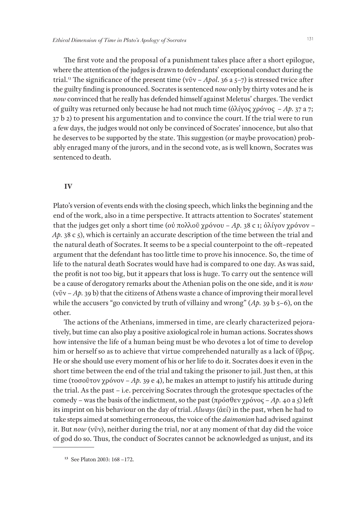The first vote and the proposal of a punishment takes place after a short epilogue, where the attention of the judges is drawn to defendants' exceptional conduct during the trial.13 The significance of the present time (νῦν – *Apol*. 36 a 5–7) is stressed twice after the guilty finding is pronounced. Socrates is sentenced *now* only by thirty votes and he is *now* convinced that he really has defended himself against Meletus' charges. The verdict of guilty was returned only because he had not much time (ὀλίγος χρόνος – *Ap.* 37 a 7; 37 b 2) to present his argumentation and to convince the court. If the trial were to run a few days, the judges would not only be convinced of Socrates' innocence, but also that he deserves to be supported by the state. This suggestion (or maybe provocation) probably enraged many of the jurors, and in the second vote, as is well known, Socrates was sentenced to death.

#### **IV**

Plato's version of events ends with the closing speech, which links the beginning and the end of the work, also in a time perspective. It attracts attention to Socrates' statement that the judges get only a short time (οὐ πολλοῦ χρόνου – *Ap.* 38 c 1; ὀλίγον χρόνον – *Ap.* 38 c 5), which is certainly an accurate description of the time between the trial and the natural death of Socrates. It seems to be a special counterpoint to the oft–repeated argument that the defendant has too little time to prove his innocence. So, the time of life to the natural death Socrates would have had is compared to one day. As was said, the profit is not too big, but it appears that loss is huge. To carry out the sentence will be a cause of derogatory remarks about the Athenian polis on the one side, and it is *now*  (νῦν – *Ap.* 39 b) that the citizens of Athens waste a chance of improving their moral level while the accusers "go convicted by truth of villainy and wrong" (*Ap.* 39 b 5–6), on the other.

The actions of the Athenians, immersed in time, are clearly characterized pejoratively, but time can also play a positive axiological role in human actions. Socrates shows how intensive the life of a human being must be who devotes a lot of time to develop him or herself so as to achieve that virtue comprehended naturally as a lack of ὕβρις. He or she should use every moment of his or her life to do it. Socrates does it even in the short time between the end of the trial and taking the prisoner to jail. Just then, at this time (τοσοῦτον χρόνον – *Ap.* 39 e 4), he makes an attempt to justify his attitude during the trial. As the past – i.e. perceiving Socrates through the grotesque spectacles of the comedy – was the basis of the indictment, so the past (πρόσθεν χρόνος – *Ap.* 40 a 5) left its imprint on his behaviour on the day of trial. *Always* (ἀεί) in the past, when he had to take steps aimed at something erroneous, the voice of the *daimonion* had advised against it. But *now* (νῦν), neither during the trial, nor at any moment of that day did the voice of god do so. Thus, the conduct of Socrates cannot be acknowledged as unjust, and its

**<sup>13</sup>** See Platon 2003: 168 –172.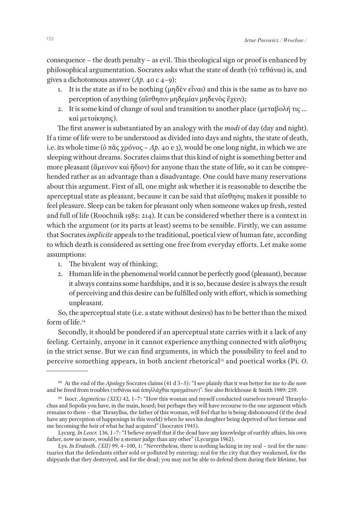consequence – the death penalty – as evil. This theological sign or proof is enhanced by philosophical argumentation. Socrates asks what the state of death (τὸ τεθάναι) is, and gives a dichotomous answer (*Ap.* 40 c 4–9):

- 1. It is the state as if to be nothing (μηδὲν εἶναι) and this is the same as to have no perception of anything (αἴσθησιν μηδεμίαν μηδενὸς ἔχειν);
- 2. It is some kind of change of soul and transition to another place (μεταβολή τις … καὶ μετοίκησις).

The first answer is substantiated by an analogy with the *modi* of day (day and night). If a time of life were to be understood as divided into days and nights, the state of death, i.e. its whole time (ὁ πᾶς χρόνος – *Ap.* 40 e 3), would be one long night, in which we are sleeping without dreams. Socrates claims that this kind of night is something better and more pleasant (ἄμεινον καὶ ἥδιον) for anyone than the state of life, so it can be comprehended rather as an advantage than a disadvantage. One could have many reservations about this argument. First of all, one might ask whether it is reasonable to describe the aperceptual state as pleasant, because it can be said that αἴσθησις makes it possible to feel pleasure. Sleep can be taken for pleasant only when someone wakes up fresh, rested and full of life (Roochnik 1985: 214). It can be considered whether there is a context in which the argument (or its parts at least) seems to be sensible. Firstly, we can assume that Socrates *implicite* appeals to the traditional, poetical view of human fate, according to which death is considered as setting one free from everyday efforts. Let make some assumptions:

- 1. The bivalent way of thinking;
- 2. Human life in the phenomenal world cannot be perfectly good (pleasant), because it always contains some hardships, and it is so, because desire is always the result of perceiving and this desire can be fulfilled only with effort, which is something unpleasant.

So, the aperceptual state (i.e. a state without desires) has to be better than the mixed form of life.14

Secondly, it should be pondered if an aperceptual state carries with it a lack of any feeling. Certainly, anyone in it cannot experience anything connected with αἴσθησις in the strict sense. But we can find arguments, in which the possibility to feel and to perceive something appears, in both ancient rhetorical<sup>15</sup> and poetical works (Pi. *O.* 

**<sup>14</sup>** At the end of the *Apology* Socrates claims (41 d 3–5): "I see plainly that it was better for me to die now and be freed from troubles (τεθάναι καὶ ἀπηλλάχθαι πραγμάτων)". See also Brickhouse & Smith 1989: 259.

**<sup>15</sup>** Isocr. *Aegineticus (XIX)* 42, 1–7: "How this woman and myself conducted ourselves toward Thrasylochus and Sopolis you have, in the main, heard; but perhaps they will have recourse to the one argument which remains to them – that Thrasyllus, the father of this woman, will feel that he is being dishonoured (if the dead have any perception of happenings in this world) when he sees his daughter being deprived of her fortune and me becoming the heir of what he had acquired" (Isocrates 1945).

Lycurg. *In Leocr.* 136, 1–7: "I believe myself that if the dead have any knowledge of earthly affairs, his own father, now no more, would be a sterner judge than any other" (Lycurgus 1962).

Lys. *In Eratosth. (XII)* 99, 4-100, 1: "Nevertheless, there is nothing lacking in my zeal - zeal for the sanctuaries that the defendants either sold or polluted by entering; zeal for the city that they weakened, for the shipyards that they destroyed, and for the dead; you may not be able to defend them during their lifetime, but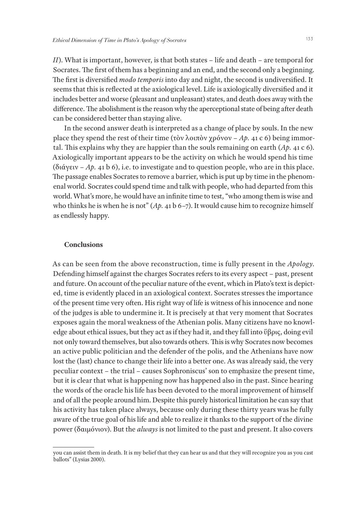*II*). What is important, however, is that both states – life and death – are temporal for Socrates. The first of them has a beginning and an end, and the second only a beginning. The first is diversified *modo temporis* into day and night, the second is undiversified. It seems that this is reflected at the axiological level. Life is axiologically diversified and it includes better and worse (pleasant and unpleasant) states, and death does away with the difference. The abolishment is the reason why the aperceptional state of being after death can be considered better than staying alive.

In the second answer death is interpreted as a change of place by souls. In the new place they spend the rest of their time (τὸν λοιπὸν χρόνον – *Ap.* 41 c 6) being immortal. This explains why they are happier than the souls remaining on earth (*Ap.* 41 c 6). Axiologically important appears to be the activity on which he would spend his time (διάγειν – *Ap.* 41 b 6), i.e. to investigate and to question people, who are in this place. The passage enables Socrates to remove a barrier, which is put up by time in the phenomenal world. Socrates could spend time and talk with people, who had departed from this world. What's more, he would have an infinite time to test, "who among them is wise and who thinks he is when he is not" (*Ap.* 41 b 6–7). It would cause him to recognize himself as endlessly happy.

#### **Conclusions**

As can be seen from the above reconstruction, time is fully present in the *Apology*. Defending himself against the charges Socrates refers to its every aspect – past, present and future. On account of the peculiar nature of the event, which in Plato's text is depicted, time is evidently placed in an axiological context. Socrates stresses the importance of the present time very often. His right way of life is witness of his innocence and none of the judges is able to undermine it. It is precisely at that very moment that Socrates exposes again the moral weakness of the Athenian polis. Many citizens have no knowledge about ethical issues, but they act as if they had it, and they fall into ὕβρις, doing evil not only toward themselves, but also towards others. This is why Socrates now becomes an active public politician and the defender of the polis, and the Athenians have now lost the (last) chance to change their life into a better one. As was already said, the very peculiar context – the trial – causes Sophroniscus' son to emphasize the present time, but it is clear that what is happening now has happened also in the past. Since hearing the words of the oracle his life has been devoted to the moral improvement of himself and of all the people around him. Despite this purely historical limitation he can say that his activity has taken place always, because only during these thirty years was he fully aware of the true goal of his life and able to realize it thanks to the support of the divine power (δαιμόνιον). But the *always* is not limited to the past and present. It also covers

you can assist them in death. It is my belief that they can hear us and that they will recognize you as you cast ballots" (Lysias 2000).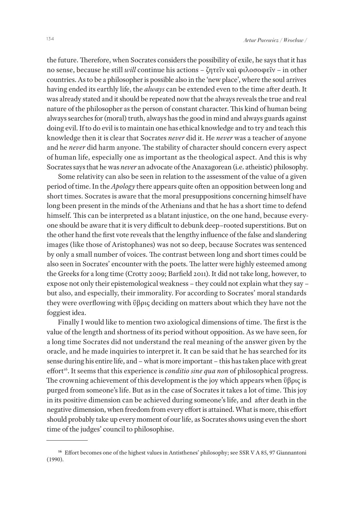the future. Therefore, when Socrates considers the possibility of exile, he says that it has no sense, because he still *will* continue his actions – ζητεῖν καὶ φιλοσοφεῖν – in other countries. As to be a philosopher is possible also in the 'new place', where the soul arrives having ended its earthly life, the *always* can be extended even to the time after death. It was already stated and it should be repeated now that the always reveals the true and real nature of the philosopher as the person of constant character. This kind of human being always searches for (moral) truth, always has the good in mind and always guards against doing evil. If to do evil is to maintain one has ethical knowledge and to try and teach this knowledge then it is clear that Socrates *never* did it. He *never* was a teacher of anyone and he *never* did harm anyone. The stability of character should concern every aspect of human life, especially one as important as the theological aspect. And this is why Socrates says that he was *never* an advocate of the Anaxagorean (i.e. atheistic) philosophy.

Some relativity can also be seen in relation to the assessment of the value of a given period of time. In the *Apology* there appears quite often an opposition between long and short times. Socrates is aware that the moral presuppositions concerning himself have long been present in the minds of the Athenians and that he has a short time to defend himself. This can be interpreted as a blatant injustice, on the one hand, because everyone should be aware that it is very difficult to debunk deep–rooted superstitions. But on the other hand the first vote reveals that the lengthy influence of the false and slandering images (like those of Aristophanes) was not so deep, because Socrates was sentenced by only a small number of voices. The contrast between long and short times could be also seen in Socrates' encounter with the poets. The latter were highly esteemed among the Greeks for a long time (Crotty 2009; Barfield 2011). It did not take long, however, to expose not only their epistemological weakness – they could not explain what they say – but also, and especially, their immorality. For according to Socrates' moral standards they were overflowing with ὕβρις deciding on matters about which they have not the foggiest idea.

Finally I would like to mention two axiological dimensions of time. The first is the value of the length and shortness of its period without opposition. As we have seen, for a long time Socrates did not understand the real meaning of the answer given by the oracle, and he made inquiries to interpret it. It can be said that he has searched for its sense during his entire life, and – what is more important – this has taken place with great effort<sup>16</sup>. It seems that this experience is *conditio sine qua non* of philosophical progress. The crowning achievement of this development is the joy which appears when ὕβρις is purged from someone's life. But as in the case of Socrates it takes a lot of time. This joy in its positive dimension can be achieved during someone's life, and after death in the negative dimension, when freedom from every effort is attained. What is more, this effort should probably take up every moment of our life, as Socrates shows using even the short time of the judges' council to philosophise.

<sup>&</sup>lt;sup>16</sup> Effort becomes one of the highest values in Antisthenes' philosophy; see SSR V A 85, 97 Giannantoni (1990).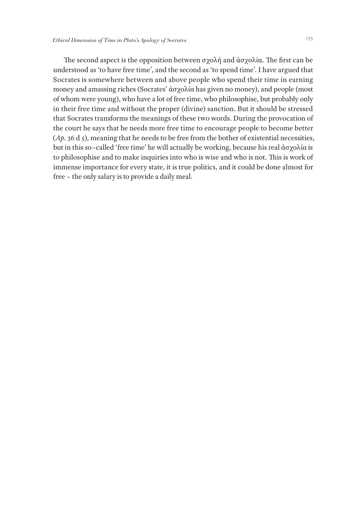The second aspect is the opposition between σχολή and ἀσχολία. The first can be understood as 'to have free time', and the second as 'to spend time'. I have argued that Socrates is somewhere between and above people who spend their time in earning money and amassing riches (Socrates' ἀσχολία has given no money), and people (most of whom were young), who have a lot of free time, who philosophise, but probably only in their free time and without the proper (divine) sanction. But it should be stressed that Socrates transforms the meanings of these two words. During the provocation of the court he says that he needs more free time to encourage people to become better (*Ap.* 36 d 5), meaning that he needs to be free from the bother of existential necessities, but in this so–called 'free time' he will actually be working, because his real ἀσχολία is to philosophise and to make inquiries into who is wise and who is not. This is work of immense importance for every state, it is true politics, and it could be done almost for free – the only salary is to provide a daily meal.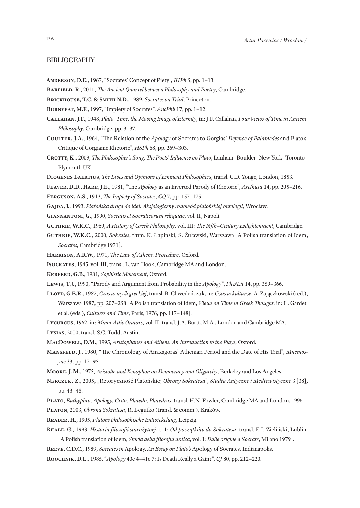#### BIBLIOGRAPHY

- **Anderson, D.E.**, 1967, "Socrates' Concept of Piety", *JHPh* 5, pp. 1–13.
- **Barfield, R.**, 2011, *The Ancient Quarrel between Philosophy and Poetry*, Cambridge.
- **Brickhouse, T.C. & Smith N.D.**, 1989, *Socrates on Trial*, Princeton.
- **Burnyeat, M.F.**, 1997, "Impiety of Socrates", *AncPhil* 17, pp. 1–12.
- **Callahan, J.F.**, 1948, *Plato. Time, the Moving Image of Eternity*, in: J.F. Callahan, *Four Views of Time in Ancient Philosophy*, Cambridge, pp. 3–37.
- **Coulter, J.A.**, 1964, "The Relation of the *Apology* of Socrates to Gorgias' *Defence of Palamedes* and Plato's Critique of Gorgianic Rhetoric", *HSPh* 68, pp. 269–303.
- **Crotty, K.**, 2009, *The Philosopher's Song. The Poets' Influence on Plato*, Lanham–Boulder–New York–Toronto– Plymouth UK.
- **Diogenes Laertius**, *The Lives and Opinions of Eminent Philosophers*, transl. C.D. Yonge, London, 1853.
- **Feaver, D.D., Hare, J.E.**, 1981, "The *Apology* as an Inverted Parody of Rhetoric", *Arethusa* 14, pp. 205–216.
- **Ferguson, A.S.**, 1913, *The Impiety of Socrates*, *CQ* 7, pp. 157–175.
- **Gajda, J.**, 1993, *Platońska droga do idei. Aksjologiczny rodowód platońskiej ontologii*, Wrocław.
- **Giannantoni, G.**, 1990, *Socratis et Socraticorum reliquiae*, vol. II, Napoli.
- **Guthrie, W.K.C.**, 1969, *A History of Greek Philosophy*, vol. III: *The Fifth–Century Enlightenment*, Cambridge.
- **Guthrie, W.K.C.**, 2000, *Sokrates*, tłum. K. Łapiński, S. Żuławski, Warszawa [A Polish translation of Idem, *Socrates*, Cambridge 1971].
- **Harrison, A.R.W.**, 1971, *The Law of Athens. Procedure*, Oxford.
- **Isocrates**, 1945, vol. III, transl. L. van Hook, Cambridge MA and London.
- **Kerferd, G.B.**, 1981, *Sophistic Movement*, Oxford.
- **Lewis, T.J.**, 1990, "Parody and Argument from Probability in the *Apology*", *Ph&Lit* 14, pp. 359–366.
- **Lloyd, G.E.R.**, 1987, *Czas w myśli greckiej*, transl. B. Chwedeńczuk, in: *Czas w kulturze*, A. Zajączkowski (red.), Warszawa 1987, pp. 207–258 [A Polish translation of Idem, *Views on Time in Greek Thought*, in: L. Gardet et al. (eds.), *Cultures and Time*, Paris, 1976, pp. 117–148].
- **Lycurgus**, 1962, in: *Minor Attic Orators*, vol. II, transl. J.A. Burtt, M.A., London and Cambridge MA.
- **Lysias**, 2000, transl. S.C. Todd, Austin.
- **MacDowell, D.M.**, 1995, *Aristophanes and Athens. An Introduction to the Plays*, Oxford.
- **Mansfeld, J.**, 1980, "The Chronology of Anaxagoras' Athenian Period and the Date of His Trial", *Mnemosyne* 33, pp. 17–95.
- **Moore, J. M.**, 1975, *Aristotle and Xenophon on Democracy and Oligarchy*, Berkeley and Los Angeles.
- **Nerczuk, Z.**, 2005, "Retoryczność Platońskiej *Obrony Sokratesa*", *Studia Antyczne i Mediewistyczne* 3 [38], pp. 43–48.
- **Plato**, *Euthyphro, Apology, Crito, Phaedo, Phaedrus*, transl. H.N. Fowler, Cambridge MA and London, 1996.
- **Platon**, 2003, *Obrona Sokratesa*, R. Legutko (transl. & comm.), Kraków.
- **Reader, H.**, 1905, *Platons philosophische Entwickelung*, Leipzig.
- **Reale, G.**, 1993, *Historia filozofii starożytnej*, t. 1: *Od początków do Sokratesa*, transl. E.I. Zieliński, Lublin [A Polish translation of Idem, *Storia della filosofia antica*, vol. I: *Dalle origine a Socrate*, Milano 1979].
- **Reeve, C.D.C.**, 1989, *Socrates in* Apology. *An Essay on Plato's* Apology of Socrates, Indianapolis.
- **Roochnik, D.L.**, 1985, "*Apology* 40c 4–41e 7: Is Death Really a Gain?", *CJ* 80, pp. 212–220.